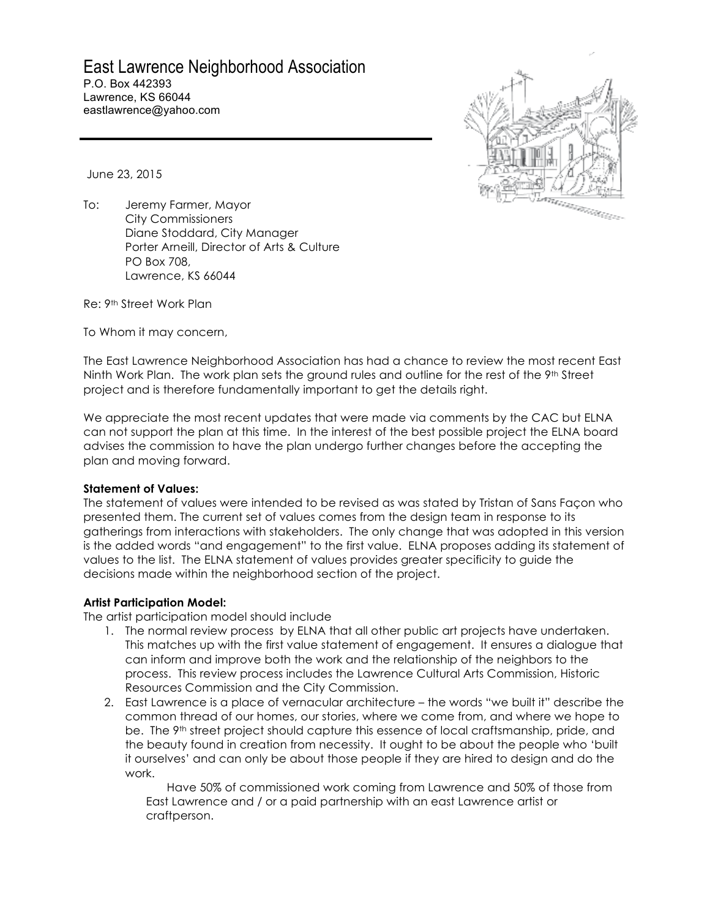# East Lawrence Neighborhood Association

P.O. Box 442393 Lawrence, KS 66044 eastlawrence@yahoo.com



June 23, 2015

To: Jeremy Farmer, Mayor City Commissioners Diane Stoddard, City Manager Porter Arneill, Director of Arts & Culture PO Box 708, Lawrence, KS 66044

Re: 9th Street Work Plan

To Whom it may concern,

The East Lawrence Neighborhood Association has had a chance to review the most recent East Ninth Work Plan. The work plan sets the ground rules and outline for the rest of the 9th Street project and is therefore fundamentally important to get the details right.

We appreciate the most recent updates that were made via comments by the CAC but ELNA can not support the plan at this time. In the interest of the best possible project the ELNA board advises the commission to have the plan undergo further changes before the accepting the plan and moving forward.

# **Statement of Values:**

The statement of values were intended to be revised as was stated by Tristan of Sans Façon who presented them. The current set of values comes from the design team in response to its gatherings from interactions with stakeholders. The only change that was adopted in this version is the added words "and engagement" to the first value. ELNA proposes adding its statement of values to the list. The ELNA statement of values provides greater specificity to guide the decisions made within the neighborhood section of the project.

# **Artist Participation Model:**

The artist participation model should include

- 1. The normal review process by ELNA that all other public art projects have undertaken. This matches up with the first value statement of engagement. It ensures a dialogue that can inform and improve both the work and the relationship of the neighbors to the process. This review process includes the Lawrence Cultural Arts Commission, Historic Resources Commission and the City Commission.
- 2. East Lawrence is a place of vernacular architecture the words "we built it" describe the common thread of our homes, our stories, where we come from, and where we hope to be. The 9<sup>th</sup> street project should capture this essence of local craftsmanship, pride, and the beauty found in creation from necessity. It ought to be about the people who 'built it ourselves' and can only be about those people if they are hired to design and do the work.

Have 50% of commissioned work coming from Lawrence and 50% of those from East Lawrence and / or a paid partnership with an east Lawrence artist or craftperson.